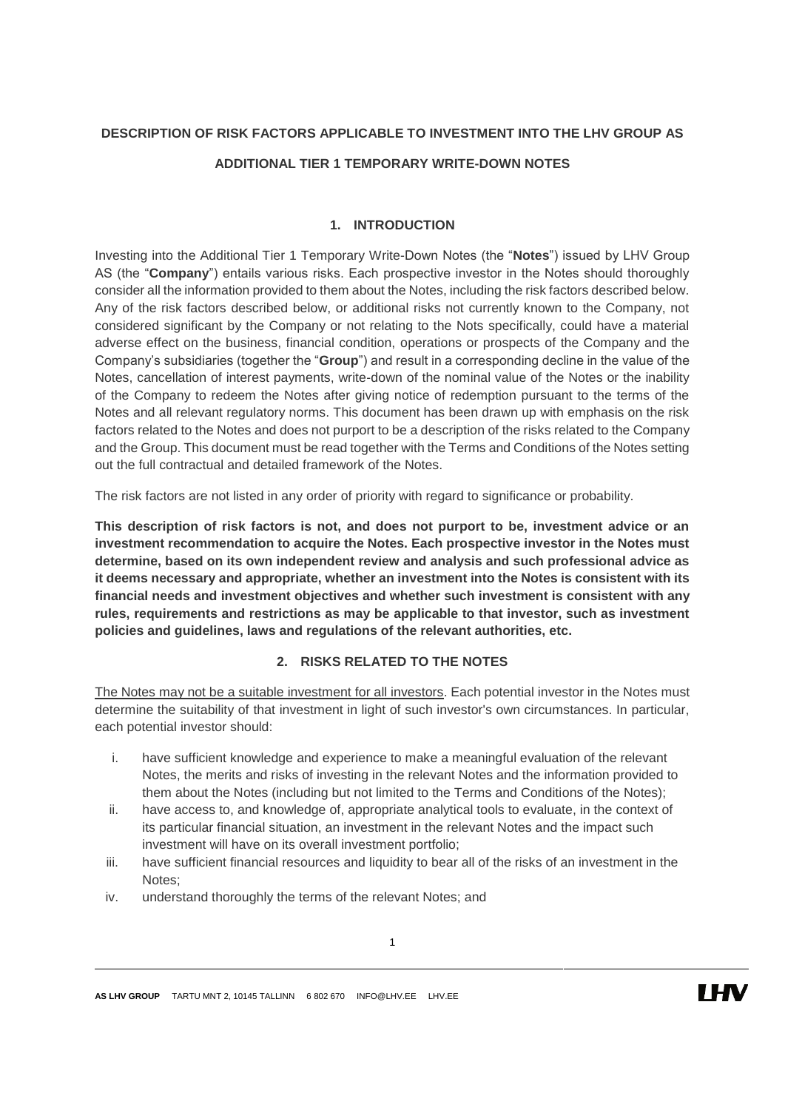## **DESCRIPTION OF RISK FACTORS APPLICABLE TO INVESTMENT INTO THE LHV GROUP AS ADDITIONAL TIER 1 TEMPORARY WRITE-DOWN NOTES**

## **1. INTRODUCTION**

Investing into the Additional Tier 1 Temporary Write-Down Notes (the "**Notes**") issued by LHV Group AS (the "**Company**") entails various risks. Each prospective investor in the Notes should thoroughly consider all the information provided to them about the Notes, including the risk factors described below. Any of the risk factors described below, or additional risks not currently known to the Company, not considered significant by the Company or not relating to the Nots specifically, could have a material adverse effect on the business, financial condition, operations or prospects of the Company and the Company's subsidiaries (together the "**Group**") and result in a corresponding decline in the value of the Notes, cancellation of interest payments, write-down of the nominal value of the Notes or the inability of the Company to redeem the Notes after giving notice of redemption pursuant to the terms of the Notes and all relevant regulatory norms. This document has been drawn up with emphasis on the risk factors related to the Notes and does not purport to be a description of the risks related to the Company and the Group. This document must be read together with the Terms and Conditions of the Notes setting out the full contractual and detailed framework of the Notes.

The risk factors are not listed in any order of priority with regard to significance or probability.

**This description of risk factors is not, and does not purport to be, investment advice or an investment recommendation to acquire the Notes. Each prospective investor in the Notes must determine, based on its own independent review and analysis and such professional advice as it deems necessary and appropriate, whether an investment into the Notes is consistent with its financial needs and investment objectives and whether such investment is consistent with any rules, requirements and restrictions as may be applicable to that investor, such as investment policies and guidelines, laws and regulations of the relevant authorities, etc.**

## **2. RISKS RELATED TO THE NOTES**

The Notes may not be a suitable investment for all investors. Each potential investor in the Notes must determine the suitability of that investment in light of such investor's own circumstances. In particular, each potential investor should:

- i. have sufficient knowledge and experience to make a meaningful evaluation of the relevant Notes, the merits and risks of investing in the relevant Notes and the information provided to them about the Notes (including but not limited to the Terms and Conditions of the Notes);
- ii. have access to, and knowledge of, appropriate analytical tools to evaluate, in the context of its particular financial situation, an investment in the relevant Notes and the impact such investment will have on its overall investment portfolio;
- iii. have sufficient financial resources and liquidity to bear all of the risks of an investment in the Notes;
- iv. understand thoroughly the terms of the relevant Notes; and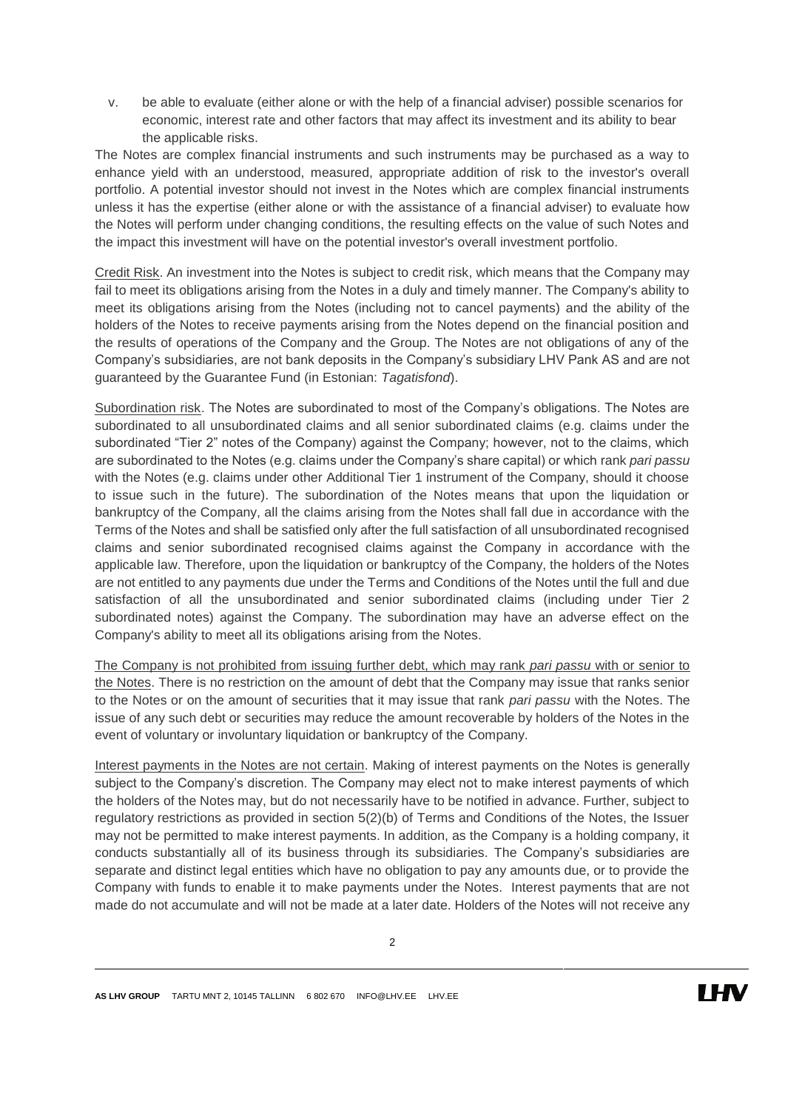v. be able to evaluate (either alone or with the help of a financial adviser) possible scenarios for economic, interest rate and other factors that may affect its investment and its ability to bear the applicable risks.

The Notes are complex financial instruments and such instruments may be purchased as a way to enhance yield with an understood, measured, appropriate addition of risk to the investor's overall portfolio. A potential investor should not invest in the Notes which are complex financial instruments unless it has the expertise (either alone or with the assistance of a financial adviser) to evaluate how the Notes will perform under changing conditions, the resulting effects on the value of such Notes and the impact this investment will have on the potential investor's overall investment portfolio.

Credit Risk. An investment into the Notes is subject to credit risk, which means that the Company may fail to meet its obligations arising from the Notes in a duly and timely manner. The Company's ability to meet its obligations arising from the Notes (including not to cancel payments) and the ability of the holders of the Notes to receive payments arising from the Notes depend on the financial position and the results of operations of the Company and the Group. The Notes are not obligations of any of the Company's subsidiaries, are not bank deposits in the Company's subsidiary LHV Pank AS and are not guaranteed by the Guarantee Fund (in Estonian: *Tagatisfond*).

Subordination risk. The Notes are subordinated to most of the Company's obligations. The Notes are subordinated to all unsubordinated claims and all senior subordinated claims (e.g. claims under the subordinated "Tier 2" notes of the Company) against the Company; however, not to the claims, which are subordinated to the Notes (e.g. claims under the Company's share capital) or which rank *pari passu*  with the Notes (e.g. claims under other Additional Tier 1 instrument of the Company, should it choose to issue such in the future). The subordination of the Notes means that upon the liquidation or bankruptcy of the Company, all the claims arising from the Notes shall fall due in accordance with the Terms of the Notes and shall be satisfied only after the full satisfaction of all unsubordinated recognised claims and senior subordinated recognised claims against the Company in accordance with the applicable law. Therefore, upon the liquidation or bankruptcy of the Company, the holders of the Notes are not entitled to any payments due under the Terms and Conditions of the Notes until the full and due satisfaction of all the unsubordinated and senior subordinated claims (including under Tier 2 subordinated notes) against the Company. The subordination may have an adverse effect on the Company's ability to meet all its obligations arising from the Notes.

The Company is not prohibited from issuing further debt, which may rank *pari passu* with or senior to the Notes. There is no restriction on the amount of debt that the Company may issue that ranks senior to the Notes or on the amount of securities that it may issue that rank *pari passu* with the Notes. The issue of any such debt or securities may reduce the amount recoverable by holders of the Notes in the event of voluntary or involuntary liquidation or bankruptcy of the Company.

Interest payments in the Notes are not certain. Making of interest payments on the Notes is generally subject to the Company's discretion. The Company may elect not to make interest payments of which the holders of the Notes may, but do not necessarily have to be notified in advance. Further, subject to regulatory restrictions as provided in section 5(2)(b) of Terms and Conditions of the Notes, the Issuer may not be permitted to make interest payments. In addition, as the Company is a holding company, it conducts substantially all of its business through its subsidiaries. The Company's subsidiaries are separate and distinct legal entities which have no obligation to pay any amounts due, or to provide the Company with funds to enable it to make payments under the Notes. Interest payments that are not made do not accumulate and will not be made at a later date. Holders of the Notes will not receive any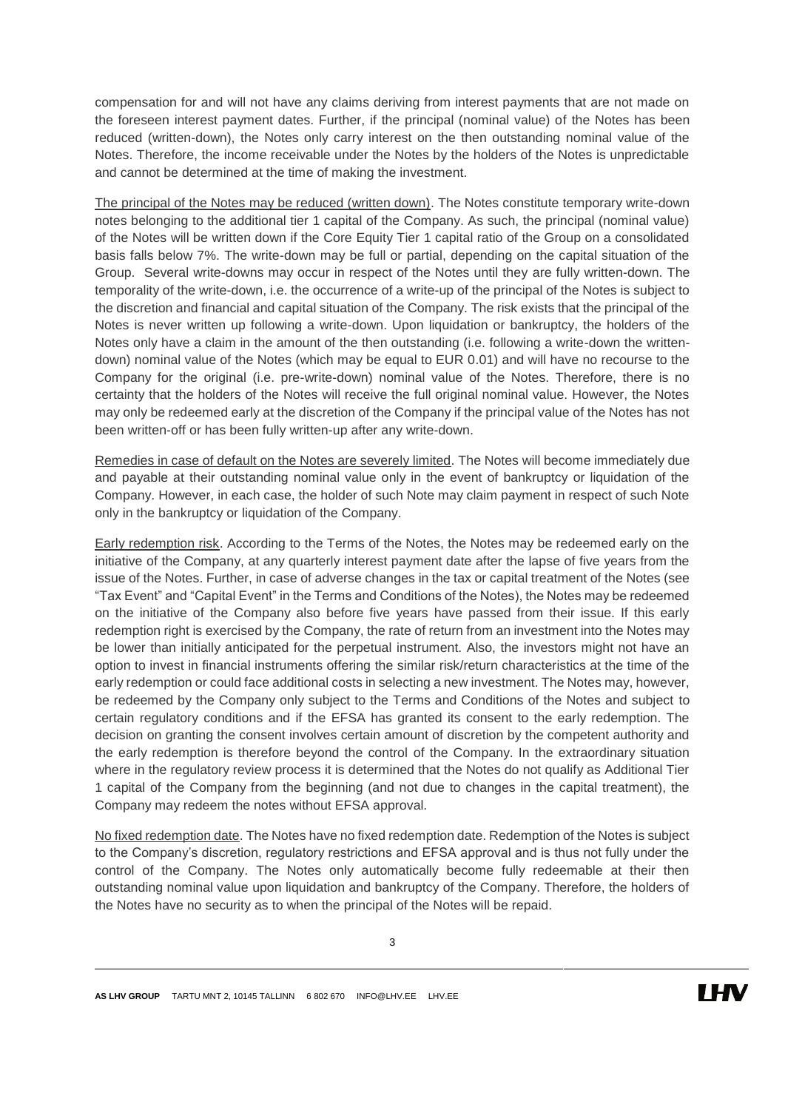compensation for and will not have any claims deriving from interest payments that are not made on the foreseen interest payment dates. Further, if the principal (nominal value) of the Notes has been reduced (written-down), the Notes only carry interest on the then outstanding nominal value of the Notes. Therefore, the income receivable under the Notes by the holders of the Notes is unpredictable and cannot be determined at the time of making the investment.

The principal of the Notes may be reduced (written down). The Notes constitute temporary write-down notes belonging to the additional tier 1 capital of the Company. As such, the principal (nominal value) of the Notes will be written down if the Core Equity Tier 1 capital ratio of the Group on a consolidated basis falls below 7%. The write-down may be full or partial, depending on the capital situation of the Group. Several write-downs may occur in respect of the Notes until they are fully written-down. The temporality of the write-down, i.e. the occurrence of a write-up of the principal of the Notes is subject to the discretion and financial and capital situation of the Company. The risk exists that the principal of the Notes is never written up following a write-down. Upon liquidation or bankruptcy, the holders of the Notes only have a claim in the amount of the then outstanding (i.e. following a write-down the writtendown) nominal value of the Notes (which may be equal to EUR 0.01) and will have no recourse to the Company for the original (i.e. pre-write-down) nominal value of the Notes. Therefore, there is no certainty that the holders of the Notes will receive the full original nominal value. However, the Notes may only be redeemed early at the discretion of the Company if the principal value of the Notes has not been written-off or has been fully written-up after any write-down.

Remedies in case of default on the Notes are severely limited. The Notes will become immediately due and payable at their outstanding nominal value only in the event of bankruptcy or liquidation of the Company. However, in each case, the holder of such Note may claim payment in respect of such Note only in the bankruptcy or liquidation of the Company.

Early redemption risk. According to the Terms of the Notes, the Notes may be redeemed early on the initiative of the Company, at any quarterly interest payment date after the lapse of five years from the issue of the Notes. Further, in case of adverse changes in the tax or capital treatment of the Notes (see "Tax Event" and "Capital Event" in the Terms and Conditions of the Notes), the Notes may be redeemed on the initiative of the Company also before five years have passed from their issue. If this early redemption right is exercised by the Company, the rate of return from an investment into the Notes may be lower than initially anticipated for the perpetual instrument. Also, the investors might not have an option to invest in financial instruments offering the similar risk/return characteristics at the time of the early redemption or could face additional costs in selecting a new investment. The Notes may, however, be redeemed by the Company only subject to the Terms and Conditions of the Notes and subject to certain regulatory conditions and if the EFSA has granted its consent to the early redemption. The decision on granting the consent involves certain amount of discretion by the competent authority and the early redemption is therefore beyond the control of the Company. In the extraordinary situation where in the regulatory review process it is determined that the Notes do not qualify as Additional Tier 1 capital of the Company from the beginning (and not due to changes in the capital treatment), the Company may redeem the notes without EFSA approval.

No fixed redemption date. The Notes have no fixed redemption date. Redemption of the Notes is subject to the Company's discretion, regulatory restrictions and EFSA approval and is thus not fully under the control of the Company. The Notes only automatically become fully redeemable at their then outstanding nominal value upon liquidation and bankruptcy of the Company. Therefore, the holders of the Notes have no security as to when the principal of the Notes will be repaid.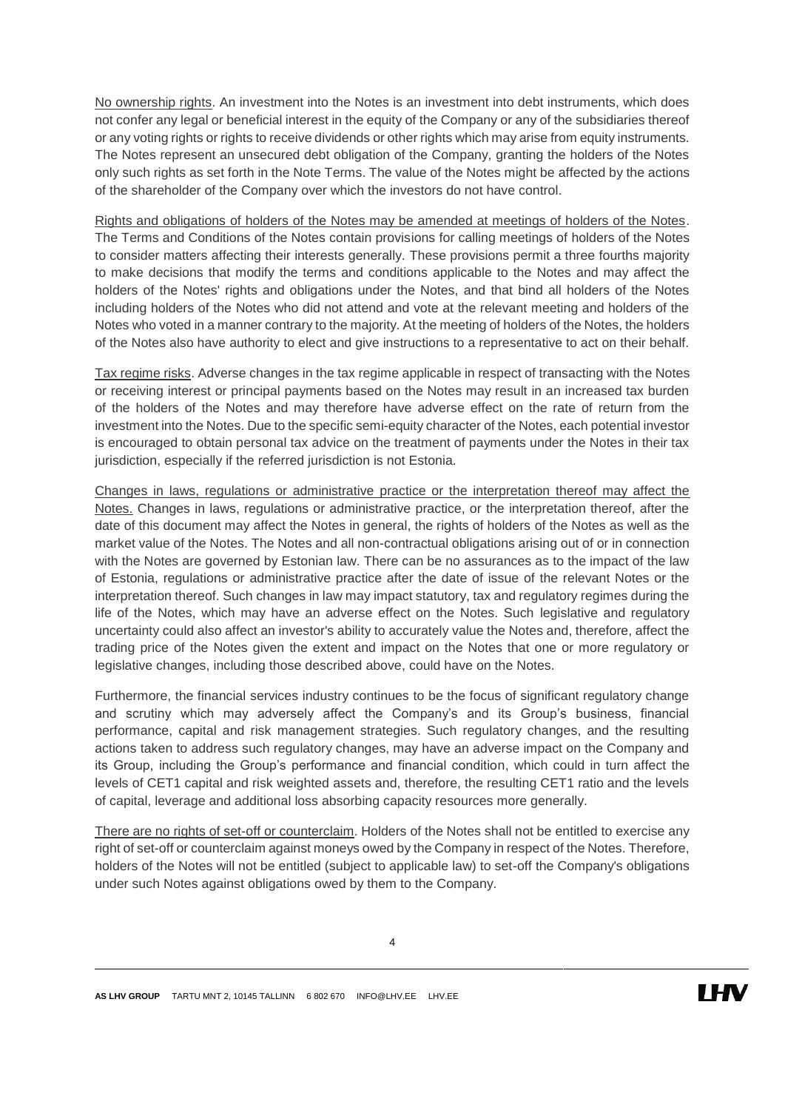No ownership rights. An investment into the Notes is an investment into debt instruments, which does not confer any legal or beneficial interest in the equity of the Company or any of the subsidiaries thereof or any voting rights or rights to receive dividends or other rights which may arise from equity instruments. The Notes represent an unsecured debt obligation of the Company, granting the holders of the Notes only such rights as set forth in the Note Terms. The value of the Notes might be affected by the actions of the shareholder of the Company over which the investors do not have control.

Rights and obligations of holders of the Notes may be amended at meetings of holders of the Notes. The Terms and Conditions of the Notes contain provisions for calling meetings of holders of the Notes to consider matters affecting their interests generally. These provisions permit a three fourths majority to make decisions that modify the terms and conditions applicable to the Notes and may affect the holders of the Notes' rights and obligations under the Notes, and that bind all holders of the Notes including holders of the Notes who did not attend and vote at the relevant meeting and holders of the Notes who voted in a manner contrary to the majority. At the meeting of holders of the Notes, the holders of the Notes also have authority to elect and give instructions to a representative to act on their behalf.

Tax regime risks. Adverse changes in the tax regime applicable in respect of transacting with the Notes or receiving interest or principal payments based on the Notes may result in an increased tax burden of the holders of the Notes and may therefore have adverse effect on the rate of return from the investment into the Notes. Due to the specific semi-equity character of the Notes, each potential investor is encouraged to obtain personal tax advice on the treatment of payments under the Notes in their tax jurisdiction, especially if the referred jurisdiction is not Estonia.

Changes in laws, regulations or administrative practice or the interpretation thereof may affect the Notes. Changes in laws, regulations or administrative practice, or the interpretation thereof, after the date of this document may affect the Notes in general, the rights of holders of the Notes as well as the market value of the Notes. The Notes and all non-contractual obligations arising out of or in connection with the Notes are governed by Estonian law. There can be no assurances as to the impact of the law of Estonia, regulations or administrative practice after the date of issue of the relevant Notes or the interpretation thereof. Such changes in law may impact statutory, tax and regulatory regimes during the life of the Notes, which may have an adverse effect on the Notes. Such legislative and regulatory uncertainty could also affect an investor's ability to accurately value the Notes and, therefore, affect the trading price of the Notes given the extent and impact on the Notes that one or more regulatory or legislative changes, including those described above, could have on the Notes.

Furthermore, the financial services industry continues to be the focus of significant regulatory change and scrutiny which may adversely affect the Company's and its Group's business, financial performance, capital and risk management strategies. Such regulatory changes, and the resulting actions taken to address such regulatory changes, may have an adverse impact on the Company and its Group, including the Group's performance and financial condition, which could in turn affect the levels of CET1 capital and risk weighted assets and, therefore, the resulting CET1 ratio and the levels of capital, leverage and additional loss absorbing capacity resources more generally.

There are no rights of set-off or counterclaim. Holders of the Notes shall not be entitled to exercise any right of set-off or counterclaim against moneys owed by the Company in respect of the Notes. Therefore, holders of the Notes will not be entitled (subject to applicable law) to set-off the Company's obligations under such Notes against obligations owed by them to the Company.